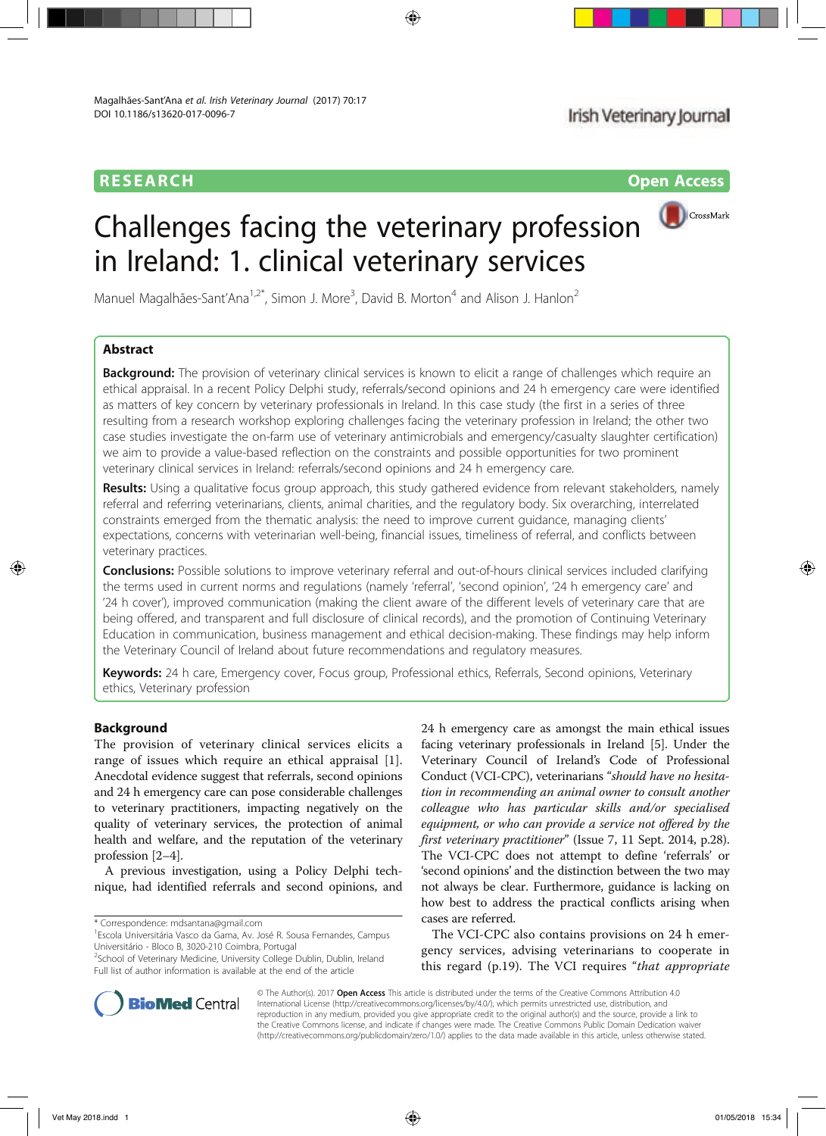# RESEARCH Open Access

CrossMark

# Challenges facing the veterinary profession in Ireland: 1. clinical veterinary services

Manuel Magalhães-Sant'Ana<sup>1,2\*</sup>, Simon J. More<sup>3</sup>, David B. Morton<sup>4</sup> and Alison J. Hanlon<sup>2</sup>

# Abstract

**Background:** The provision of veterinary clinical services is known to elicit a range of challenges which require an ethical appraisal. In a recent Policy Delphi study, referrals/second opinions and 24 h emergency care were identified as matters of key concern by veterinary professionals in Ireland. In this case study (the first in a series of three resulting from a research workshop exploring challenges facing the veterinary profession in Ireland; the other two case studies investigate the on-farm use of veterinary antimicrobials and emergency/casualty slaughter certification) we aim to provide a value-based reflection on the constraints and possible opportunities for two prominent veterinary clinical services in Ireland: referrals/second opinions and 24 h emergency care.

Results: Using a qualitative focus group approach, this study gathered evidence from relevant stakeholders, namely referral and referring veterinarians, clients, animal charities, and the regulatory body. Six overarching, interrelated constraints emerged from the thematic analysis: the need to improve current guidance, managing clients' expectations, concerns with veterinarian well-being, financial issues, timeliness of referral, and conflicts between veterinary practices.

Conclusions: Possible solutions to improve veterinary referral and out-of-hours clinical services included clarifying the terms used in current norms and regulations (namely 'referral', 'second opinion', '24 h emergency care' and '24 h cover'), improved communication (making the client aware of the different levels of veterinary care that are being offered, and transparent and full disclosure of clinical records), and the promotion of Continuing Veterinary Education in communication, business management and ethical decision-making. These findings may help inform the Veterinary Council of Ireland about future recommendations and regulatory measures.

Keywords: 24 h care, Emergency cover, Focus group, Professional ethics, Referrals, Second opinions, Veterinary ethics, Veterinary profession

# Background

The provision of veterinary clinical services elicits a range of issues which require an ethical appraisal [1]. Anecdotal evidence suggest that referrals, second opinions and 24 h emergency care can pose considerable challenges to veterinary practitioners, impacting negatively on the quality of veterinary services, the protection of animal health and welfare, and the reputation of the veterinary profession [2–4].

A previous investigation, using a Policy Delphi technique, had identified referrals and second opinions, and

\* Correspondence: mdsantana@gmail.com <sup>1</sup>

<sup>2</sup>School of Veterinary Medicine, University College Dublin, Dublin, Ireland Full list of author information is available at the end of the article

24 h emergency care as amongst the main ethical issues facing veterinary professionals in Ireland [5]. Under the Veterinary Council of Ireland's Code of Professional Conduct (VCI-CPC), veterinarians "should have no hesitation in recommending an animal owner to consult another colleague who has particular skills and/or specialised equipment, or who can provide a service not offered by the first veterinary practitioner" (Issue 7, 11 Sept. 2014, p.28). The VCI-CPC does not attempt to define 'referrals' or 'second opinions' and the distinction between the two may not always be clear. Furthermore, guidance is lacking on how best to address the practical conflicts arising when cases are referred.

The VCI-CPC also contains provisions on 24 h emergency services, advising veterinarians to cooperate in this regard (p.19). The VCI requires "that appropriate



© The Author(s). 2017 Open Access This article is distributed under the terms of the Creative Commons Attribution 4.0 International License (http://creativecommons.org/licenses/by/4.0/), which permits unrestricted use, distribution, and reproduction in any medium, provided you give appropriate credit to the original author(s) and the source, provide a link to the Creative Commons license, and indicate if changes were made. The Creative Commons Public Domain Dedication waiver (http://creativecommons.org/publicdomain/zero/1.0/) applies to the data made available in this article, unless otherwise stated.

<sup>&</sup>lt;sup>1</sup>Escola Universitária Vasco da Gama, Av. José R. Sousa Fernandes, Campus Universitário - Bloco B, 3020-210 Coimbra, Portugal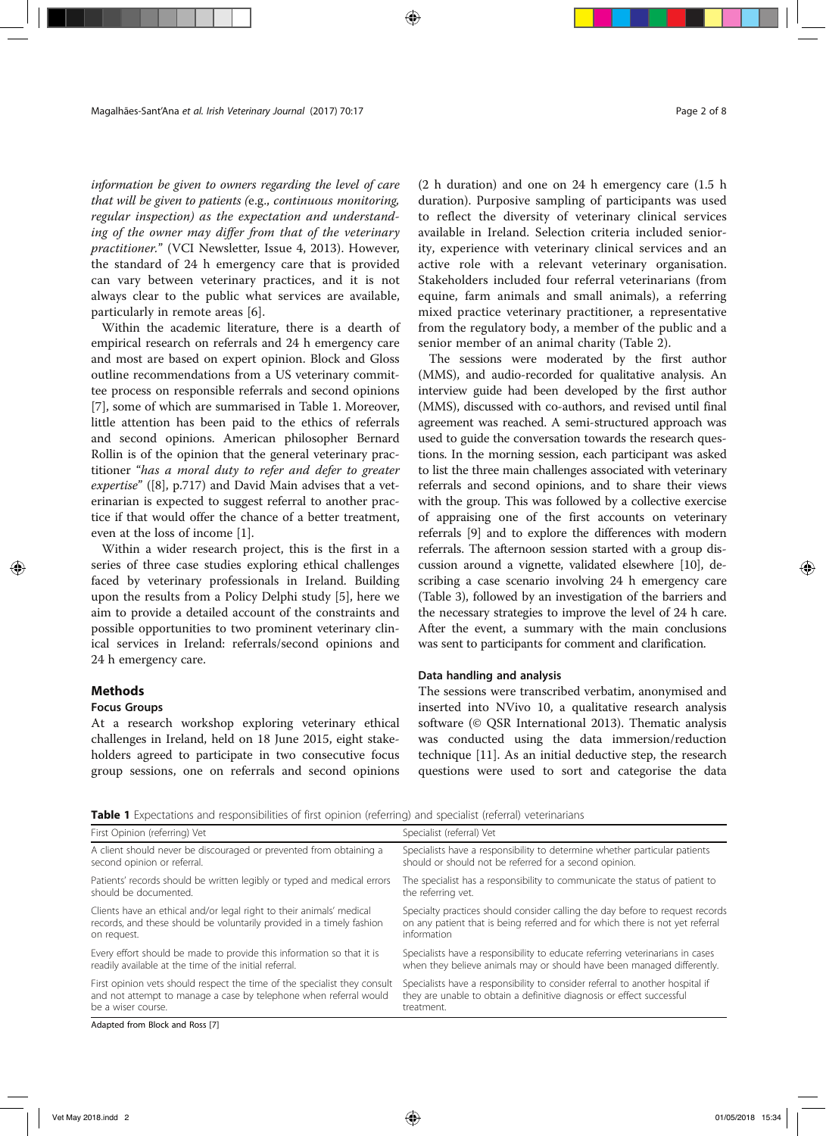information be given to owners regarding the level of care that will be given to patients (e.g., continuous monitoring, regular inspection) as the expectation and understanding of the owner may differ from that of the veterinary practitioner." (VCI Newsletter, Issue 4, 2013). However, the standard of 24 h emergency care that is provided can vary between veterinary practices, and it is not always clear to the public what services are available, particularly in remote areas [6].

Within the academic literature, there is a dearth of empirical research on referrals and 24 h emergency care and most are based on expert opinion. Block and Gloss outline recommendations from a US veterinary committee process on responsible referrals and second opinions [7], some of which are summarised in Table 1. Moreover, little attention has been paid to the ethics of referrals and second opinions. American philosopher Bernard Rollin is of the opinion that the general veterinary practitioner "has a moral duty to refer and defer to greater expertise" ([8], p.717) and David Main advises that a veterinarian is expected to suggest referral to another practice if that would offer the chance of a better treatment, even at the loss of income [1].

Within a wider research project, this is the first in a series of three case studies exploring ethical challenges faced by veterinary professionals in Ireland. Building upon the results from a Policy Delphi study [5], here we aim to provide a detailed account of the constraints and possible opportunities to two prominent veterinary clinical services in Ireland: referrals/second opinions and 24 h emergency care.

# Methods

## Focus Groups

At a research workshop exploring veterinary ethical challenges in Ireland, held on 18 June 2015, eight stakeholders agreed to participate in two consecutive focus group sessions, one on referrals and second opinions (2 h duration) and one on 24 h emergency care (1.5 h duration). Purposive sampling of participants was used to reflect the diversity of veterinary clinical services available in Ireland. Selection criteria included seniority, experience with veterinary clinical services and an active role with a relevant veterinary organisation. Stakeholders included four referral veterinarians (from equine, farm animals and small animals), a referring mixed practice veterinary practitioner, a representative from the regulatory body, a member of the public and a senior member of an animal charity (Table 2).

The sessions were moderated by the first author (MMS), and audio-recorded for qualitative analysis. An interview guide had been developed by the first author (MMS), discussed with co-authors, and revised until final agreement was reached. A semi-structured approach was used to guide the conversation towards the research questions. In the morning session, each participant was asked to list the three main challenges associated with veterinary referrals and second opinions, and to share their views with the group. This was followed by a collective exercise of appraising one of the first accounts on veterinary referrals [9] and to explore the differences with modern referrals. The afternoon session started with a group discussion around a vignette, validated elsewhere [10], describing a case scenario involving 24 h emergency care (Table 3), followed by an investigation of the barriers and the necessary strategies to improve the level of 24 h care. After the event, a summary with the main conclusions was sent to participants for comment and clarification.

# Data handling and analysis

The sessions were transcribed verbatim, anonymised and inserted into NVivo 10, a qualitative research analysis software (© QSR International 2013). Thematic analysis was conducted using the data immersion/reduction technique [11]. As an initial deductive step, the research questions were used to sort and categorise the data

Table 1 Expectations and responsibilities of first opinion (referring) and specialist (referral) veterinarians

| First Opinion (referring) Vet                                             | Specialist (referral) Vet                                                     |
|---------------------------------------------------------------------------|-------------------------------------------------------------------------------|
| A client should never be discouraged or prevented from obtaining a        | Specialists have a responsibility to determine whether particular patients    |
| second opinion or referral.                                               | should or should not be referred for a second opinion.                        |
| Patients' records should be written legibly or typed and medical errors   | The specialist has a responsibility to communicate the status of patient to   |
| should be documented.                                                     | the referring vet.                                                            |
| Clients have an ethical and/or legal right to their animals' medical      | Specialty practices should consider calling the day before to request records |
| records, and these should be voluntarily provided in a timely fashion     | on any patient that is being referred and for which there is not yet referral |
| on request.                                                               | information                                                                   |
| Every effort should be made to provide this information so that it is     | Specialists have a responsibility to educate referring veterinarians in cases |
| readily available at the time of the initial referral.                    | when they believe animals may or should have been managed differently.        |
| First opinion vets should respect the time of the specialist they consult | Specialists have a responsibility to consider referral to another hospital if |
| and not attempt to manage a case by telephone when referral would         | they are unable to obtain a definitive diagnosis or effect successful         |
| be a wiser course.                                                        | treatment.                                                                    |

Adapted from Block and Ross [7]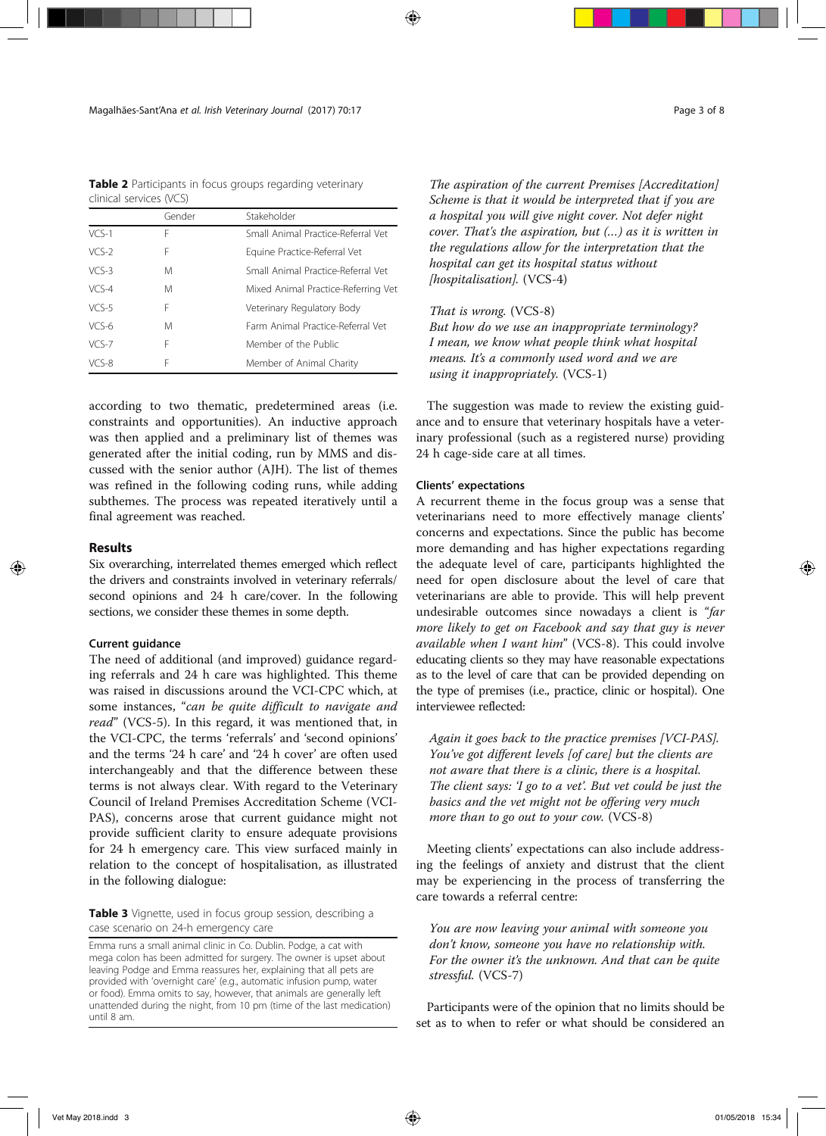Table 2 Participants in focus groups regarding veterinary clinical services (VCS)

|         | Gender | Stakeholder                         |
|---------|--------|-------------------------------------|
| $VCS-1$ | F      | Small Animal Practice-Referral Vet  |
| $VCS-2$ | F      | Equine Practice-Referral Vet        |
| $VCS-3$ | M      | Small Animal Practice-Referral Vet  |
| $VCS-4$ | M      | Mixed Animal Practice-Referring Vet |
| $VCS-5$ | F      | Veterinary Regulatory Body          |
| $VCS-6$ | M      | Farm Animal Practice-Referral Vet   |
| $VCS-7$ | F      | Member of the Public                |
| $VCS-8$ | F      | Member of Animal Charity            |

according to two thematic, predetermined areas (i.e. constraints and opportunities). An inductive approach was then applied and a preliminary list of themes was generated after the initial coding, run by MMS and discussed with the senior author (AJH). The list of themes was refined in the following coding runs, while adding subthemes. The process was repeated iteratively until a final agreement was reached.

# Results

Six overarching, interrelated themes emerged which reflect the drivers and constraints involved in veterinary referrals/ second opinions and 24 h care/cover. In the following sections, we consider these themes in some depth.

# Current guidance

The need of additional (and improved) guidance regarding referrals and 24 h care was highlighted. This theme was raised in discussions around the VCI-CPC which, at some instances, "can be quite difficult to navigate and read" (VCS-5). In this regard, it was mentioned that, in the VCI-CPC, the terms 'referrals' and 'second opinions' and the terms '24 h care' and '24 h cover' are often used interchangeably and that the difference between these terms is not always clear. With regard to the Veterinary Council of Ireland Premises Accreditation Scheme (VCI-PAS), concerns arose that current guidance might not provide sufficient clarity to ensure adequate provisions for 24 h emergency care. This view surfaced mainly in relation to the concept of hospitalisation, as illustrated in the following dialogue:

Table 3 Vignette, used in focus group session, describing a case scenario on 24-h emergency care

The aspiration of the current Premises [Accreditation] Scheme is that it would be interpreted that if you are a hospital you will give night cover. Not defer night cover. That's the aspiration, but (…) as it is written in the regulations allow for the interpretation that the hospital can get its hospital status without [hospitalisation]. (VCS-4)

## That is wrong. (VCS-8)

But how do we use an inappropriate terminology? I mean, we know what people think what hospital means. It's a commonly used word and we are using it inappropriately. (VCS-1)

The suggestion was made to review the existing guidance and to ensure that veterinary hospitals have a veterinary professional (such as a registered nurse) providing 24 h cage-side care at all times.

# Clients' expectations

A recurrent theme in the focus group was a sense that veterinarians need to more effectively manage clients' concerns and expectations. Since the public has become more demanding and has higher expectations regarding the adequate level of care, participants highlighted the need for open disclosure about the level of care that veterinarians are able to provide. This will help prevent undesirable outcomes since nowadays a client is "far more likely to get on Facebook and say that guy is never available when I want him" (VCS-8). This could involve educating clients so they may have reasonable expectations as to the level of care that can be provided depending on the type of premises (i.e., practice, clinic or hospital). One interviewee reflected:

Again it goes back to the practice premises [VCI-PAS]. You've got different levels [of care] but the clients are not aware that there is a clinic, there is a hospital. The client says: 'I go to a vet'. But vet could be just the basics and the vet might not be offering very much more than to go out to your cow. (VCS-8)

Meeting clients' expectations can also include addressing the feelings of anxiety and distrust that the client may be experiencing in the process of transferring the care towards a referral centre:

You are now leaving your animal with someone you don't know, someone you have no relationship with. For the owner it's the unknown. And that can be quite stressful. (VCS-7)

Participants were of the opinion that no limits should be set as to when to refer or what should be considered an

Emma runs a small animal clinic in Co. Dublin. Podge, a cat with mega colon has been admitted for surgery. The owner is upset about leaving Podge and Emma reassures her, explaining that all pets are provided with 'overnight care' (e.g., automatic infusion pump, water or food). Emma omits to say, however, that animals are generally left unattended during the night, from 10 pm (time of the last medication) until 8 am.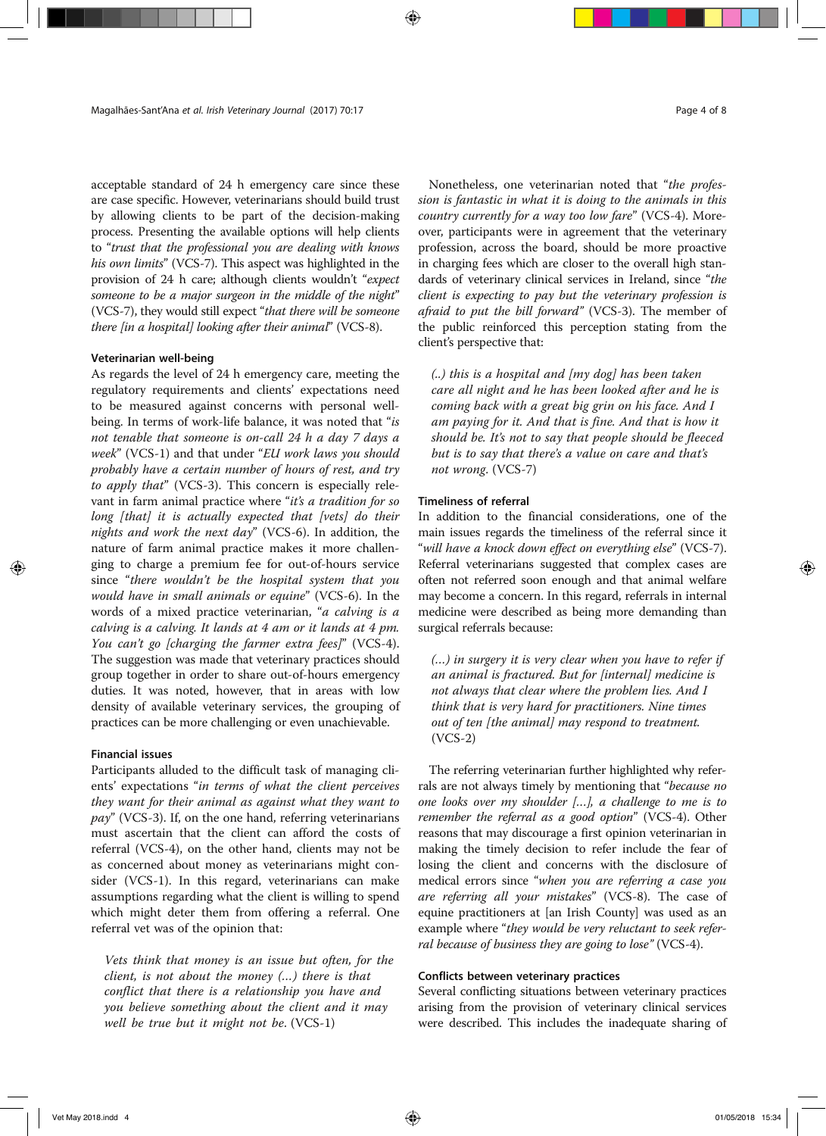acceptable standard of 24 h emergency care since these are case specific. However, veterinarians should build trust by allowing clients to be part of the decision-making process. Presenting the available options will help clients to "trust that the professional you are dealing with knows his own limits" (VCS-7). This aspect was highlighted in the provision of 24 h care; although clients wouldn't "expect someone to be a major surgeon in the middle of the night" (VCS-7), they would still expect "that there will be someone there [in a hospital] looking after their animal" (VCS-8).

#### Veterinarian well-being

As regards the level of 24 h emergency care, meeting the regulatory requirements and clients' expectations need to be measured against concerns with personal wellbeing. In terms of work-life balance, it was noted that "is not tenable that someone is on-call 24 h a day 7 days a week" (VCS-1) and that under "EU work laws you should probably have a certain number of hours of rest, and try to apply that" (VCS-3). This concern is especially relevant in farm animal practice where "it's a tradition for so long [that] it is actually expected that [vets] do their nights and work the next day" (VCS-6). In addition, the nature of farm animal practice makes it more challenging to charge a premium fee for out-of-hours service since "there wouldn't be the hospital system that you would have in small animals or equine" (VCS-6). In the words of a mixed practice veterinarian, "a calving is a calving is a calving. It lands at 4 am or it lands at 4 pm. You can't go [charging the farmer extra fees]" (VCS-4). The suggestion was made that veterinary practices should group together in order to share out-of-hours emergency duties. It was noted, however, that in areas with low density of available veterinary services, the grouping of practices can be more challenging or even unachievable.

# Financial issues

Participants alluded to the difficult task of managing clients' expectations "in terms of what the client perceives they want for their animal as against what they want to  $pay''$  (VCS-3). If, on the one hand, referring veterinarians must ascertain that the client can afford the costs of referral (VCS-4), on the other hand, clients may not be as concerned about money as veterinarians might consider (VCS-1). In this regard, veterinarians can make assumptions regarding what the client is willing to spend which might deter them from offering a referral. One referral vet was of the opinion that:

Vets think that money is an issue but often, for the client, is not about the money (…) there is that conflict that there is a relationship you have and you believe something about the client and it may well be true but it might not be. (VCS-1)

Nonetheless, one veterinarian noted that "the profession is fantastic in what it is doing to the animals in this country currently for a way too low fare" (VCS-4). Moreover, participants were in agreement that the veterinary profession, across the board, should be more proactive in charging fees which are closer to the overall high standards of veterinary clinical services in Ireland, since "the client is expecting to pay but the veterinary profession is afraid to put the bill forward" (VCS-3). The member of the public reinforced this perception stating from the client's perspective that:

(..) this is a hospital and [my dog] has been taken care all night and he has been looked after and he is coming back with a great big grin on his face. And I am paying for it. And that is fine. And that is how it should be. It's not to say that people should be fleeced but is to say that there's a value on care and that's not wrong. (VCS-7)

# Timeliness of referral

In addition to the financial considerations, one of the main issues regards the timeliness of the referral since it "will have a knock down effect on everything else" (VCS-7). Referral veterinarians suggested that complex cases are often not referred soon enough and that animal welfare may become a concern. In this regard, referrals in internal medicine were described as being more demanding than surgical referrals because:

(…) in surgery it is very clear when you have to refer if an animal is fractured. But for [internal] medicine is not always that clear where the problem lies. And I think that is very hard for practitioners. Nine times out of ten [the animal] may respond to treatment. (VCS-2)

The referring veterinarian further highlighted why referrals are not always timely by mentioning that "because no one looks over my shoulder […], a challenge to me is to remember the referral as a good option" (VCS-4). Other reasons that may discourage a first opinion veterinarian in making the timely decision to refer include the fear of losing the client and concerns with the disclosure of medical errors since "when you are referring a case you are referring all your mistakes" (VCS-8). The case of equine practitioners at [an Irish County] was used as an example where "they would be very reluctant to seek referral because of business they are going to lose" (VCS-4).

## Conflicts between veterinary practices

Several conflicting situations between veterinary practices arising from the provision of veterinary clinical services were described. This includes the inadequate sharing of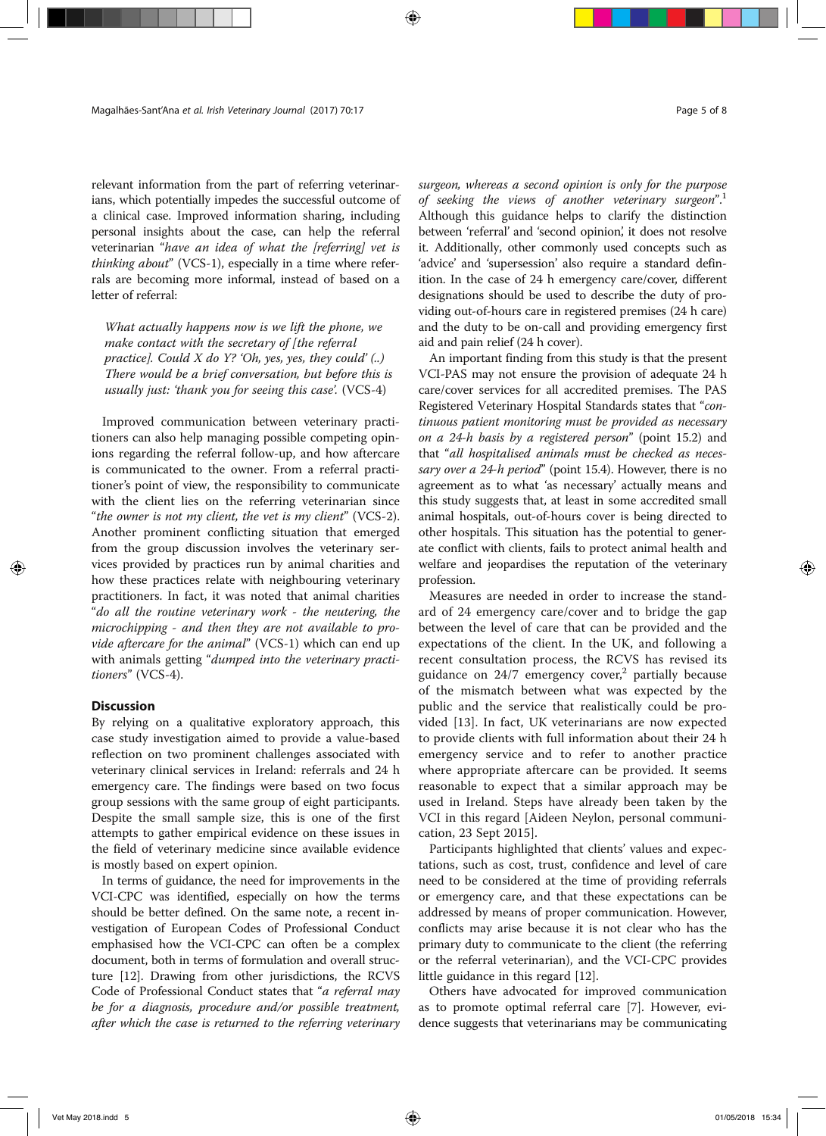relevant information from the part of referring veterinarians, which potentially impedes the successful outcome of a clinical case. Improved information sharing, including personal insights about the case, can help the referral veterinarian "have an idea of what the [referring] vet is thinking about" (VCS-1), especially in a time where referrals are becoming more informal, instead of based on a letter of referral:

What actually happens now is we lift the phone, we make contact with the secretary of [the referral] practice]. Could  $X$  do  $Y$ ? 'Oh, yes, yes, they could' (..) There would be a brief conversation, but before this is usually just: 'thank you for seeing this case'. (VCS-4)

Improved communication between veterinary practitioners can also help managing possible competing opinions regarding the referral follow-up, and how aftercare is communicated to the owner. From a referral practitioner's point of view, the responsibility to communicate with the client lies on the referring veterinarian since "the owner is not my client, the vet is my client" (VCS-2). Another prominent conflicting situation that emerged from the group discussion involves the veterinary services provided by practices run by animal charities and how these practices relate with neighbouring veterinary practitioners. In fact, it was noted that animal charities "do all the routine veterinary work - the neutering, the microchipping - and then they are not available to provide aftercare for the animal" (VCS-1) which can end up with animals getting "dumped into the veterinary practitioners" (VCS-4).

# **Discussion**

By relying on a qualitative exploratory approach, this case study investigation aimed to provide a value-based reflection on two prominent challenges associated with veterinary clinical services in Ireland: referrals and 24 h emergency care. The findings were based on two focus group sessions with the same group of eight participants. Despite the small sample size, this is one of the first attempts to gather empirical evidence on these issues in the field of veterinary medicine since available evidence is mostly based on expert opinion.

In terms of guidance, the need for improvements in the VCI-CPC was identified, especially on how the terms should be better defined. On the same note, a recent investigation of European Codes of Professional Conduct emphasised how the VCI-CPC can often be a complex document, both in terms of formulation and overall structure [12]. Drawing from other jurisdictions, the RCVS Code of Professional Conduct states that "a referral may be for a diagnosis, procedure and/or possible treatment, after which the case is returned to the referring veterinary surgeon, whereas a second opinion is only for the purpose of seeking the views of another veterinary surgeon".<sup>1</sup> Although this guidance helps to clarify the distinction between 'referral' and 'second opinion', it does not resolve it. Additionally, other commonly used concepts such as 'advice' and 'supersession' also require a standard definition. In the case of 24 h emergency care/cover, different designations should be used to describe the duty of providing out-of-hours care in registered premises (24 h care) and the duty to be on-call and providing emergency first aid and pain relief (24 h cover).

An important finding from this study is that the present VCI-PAS may not ensure the provision of adequate 24 h care/cover services for all accredited premises. The PAS Registered Veterinary Hospital Standards states that "continuous patient monitoring must be provided as necessary on a 24-h basis by a registered person" (point 15.2) and that "all hospitalised animals must be checked as necessary over a 24-h period" (point 15.4). However, there is no agreement as to what 'as necessary' actually means and this study suggests that, at least in some accredited small animal hospitals, out-of-hours cover is being directed to other hospitals. This situation has the potential to generate conflict with clients, fails to protect animal health and welfare and jeopardises the reputation of the veterinary profession.

Measures are needed in order to increase the standard of 24 emergency care/cover and to bridge the gap between the level of care that can be provided and the expectations of the client. In the UK, and following a recent consultation process, the RCVS has revised its guidance on  $24/7$  emergency cover,<sup>2</sup> partially because of the mismatch between what was expected by the public and the service that realistically could be provided [13]. In fact, UK veterinarians are now expected to provide clients with full information about their 24 h emergency service and to refer to another practice where appropriate aftercare can be provided. It seems reasonable to expect that a similar approach may be used in Ireland. Steps have already been taken by the VCI in this regard [Aideen Neylon, personal communication, 23 Sept 2015].

Participants highlighted that clients' values and expectations, such as cost, trust, confidence and level of care need to be considered at the time of providing referrals or emergency care, and that these expectations can be addressed by means of proper communication. However, conflicts may arise because it is not clear who has the primary duty to communicate to the client (the referring or the referral veterinarian), and the VCI-CPC provides little guidance in this regard [12].

Others have advocated for improved communication as to promote optimal referral care [7]. However, evidence suggests that veterinarians may be communicating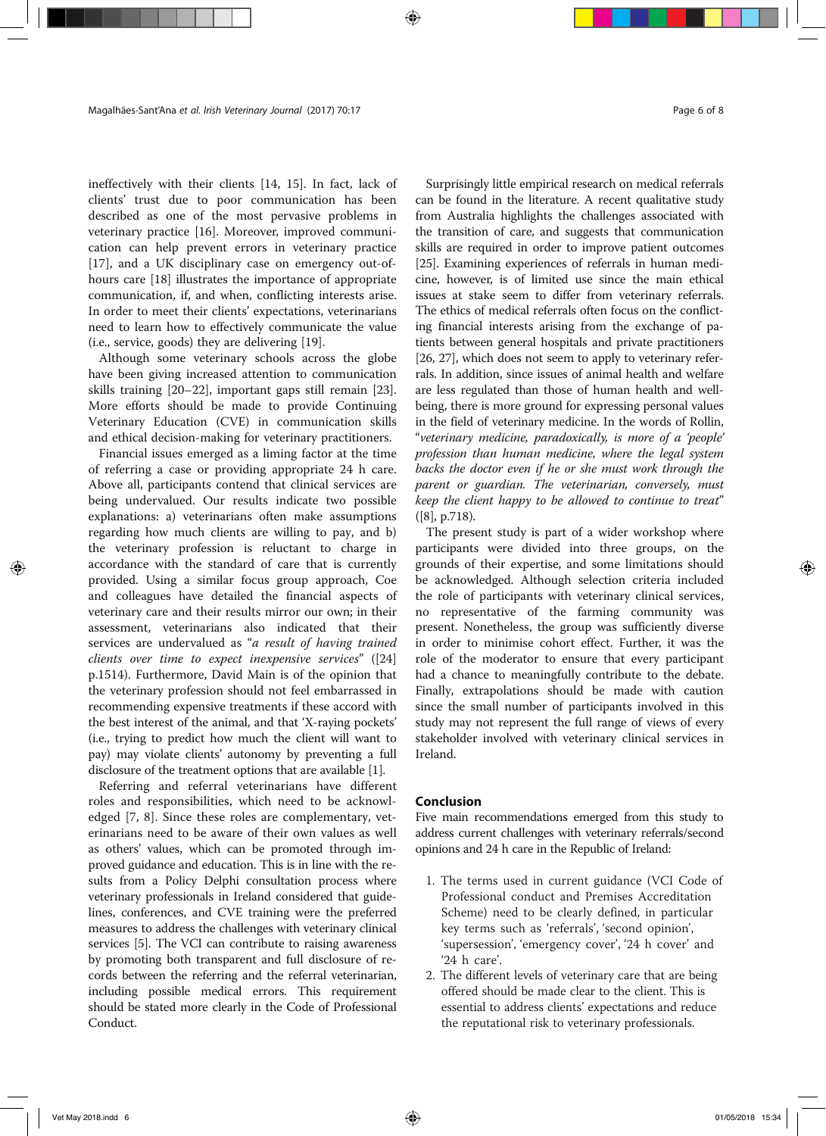ineffectively with their clients [14, 15]. In fact, lack of clients' trust due to poor communication has been described as one of the most pervasive problems in veterinary practice [16]. Moreover, improved communication can help prevent errors in veterinary practice [17], and a UK disciplinary case on emergency out-ofhours care [18] illustrates the importance of appropriate communication, if, and when, conflicting interests arise. In order to meet their clients' expectations, veterinarians need to learn how to effectively communicate the value (i.e., service, goods) they are delivering [19].

Although some veterinary schools across the globe have been giving increased attention to communication skills training [20–22], important gaps still remain [23]. More efforts should be made to provide Continuing Veterinary Education (CVE) in communication skills and ethical decision-making for veterinary practitioners.

Financial issues emerged as a liming factor at the time of referring a case or providing appropriate 24 h care. Above all, participants contend that clinical services are being undervalued. Our results indicate two possible explanations: a) veterinarians often make assumptions regarding how much clients are willing to pay, and b) the veterinary profession is reluctant to charge in accordance with the standard of care that is currently provided. Using a similar focus group approach, Coe and colleagues have detailed the financial aspects of veterinary care and their results mirror our own; in their assessment, veterinarians also indicated that their services are undervalued as "a result of having trained clients over time to expect inexpensive services" ([24] p.1514). Furthermore, David Main is of the opinion that the veterinary profession should not feel embarrassed in recommending expensive treatments if these accord with the best interest of the animal, and that 'X-raying pockets' (i.e., trying to predict how much the client will want to pay) may violate clients' autonomy by preventing a full disclosure of the treatment options that are available [1].

Referring and referral veterinarians have different roles and responsibilities, which need to be acknowledged [7, 8]. Since these roles are complementary, veterinarians need to be aware of their own values as well as others' values, which can be promoted through improved guidance and education. This is in line with the results from a Policy Delphi consultation process where veterinary professionals in Ireland considered that guidelines, conferences, and CVE training were the preferred measures to address the challenges with veterinary clinical services [5]. The VCI can contribute to raising awareness by promoting both transparent and full disclosure of records between the referring and the referral veterinarian, including possible medical errors. This requirement should be stated more clearly in the Code of Professional Conduct.

Surprisingly little empirical research on medical referrals can be found in the literature. A recent qualitative study from Australia highlights the challenges associated with the transition of care, and suggests that communication skills are required in order to improve patient outcomes [25]. Examining experiences of referrals in human medicine, however, is of limited use since the main ethical issues at stake seem to differ from veterinary referrals. The ethics of medical referrals often focus on the conflicting financial interests arising from the exchange of patients between general hospitals and private practitioners [26, 27], which does not seem to apply to veterinary referrals. In addition, since issues of animal health and welfare are less regulated than those of human health and wellbeing, there is more ground for expressing personal values in the field of veterinary medicine. In the words of Rollin, "veterinary medicine, paradoxically, is more of a 'people' profession than human medicine, where the legal system backs the doctor even if he or she must work through the parent or guardian. The veterinarian, conversely, must keep the client happy to be allowed to continue to treat" ([8], p.718).

The present study is part of a wider workshop where participants were divided into three groups, on the grounds of their expertise, and some limitations should be acknowledged. Although selection criteria included the role of participants with veterinary clinical services, no representative of the farming community was present. Nonetheless, the group was sufficiently diverse in order to minimise cohort effect. Further, it was the role of the moderator to ensure that every participant had a chance to meaningfully contribute to the debate. Finally, extrapolations should be made with caution since the small number of participants involved in this study may not represent the full range of views of every stakeholder involved with veterinary clinical services in Ireland.

#### Conclusion

Five main recommendations emerged from this study to address current challenges with veterinary referrals/second opinions and 24 h care in the Republic of Ireland:

- 1. The terms used in current guidance (VCI Code of Professional conduct and Premises Accreditation Scheme) need to be clearly defined, in particular key terms such as 'referrals', 'second opinion', 'supersession', 'emergency cover', '24 h cover' and '24 h care'.
- 2. The different levels of veterinary care that are being offered should be made clear to the client. This is essential to address clients' expectations and reduce the reputational risk to veterinary professionals.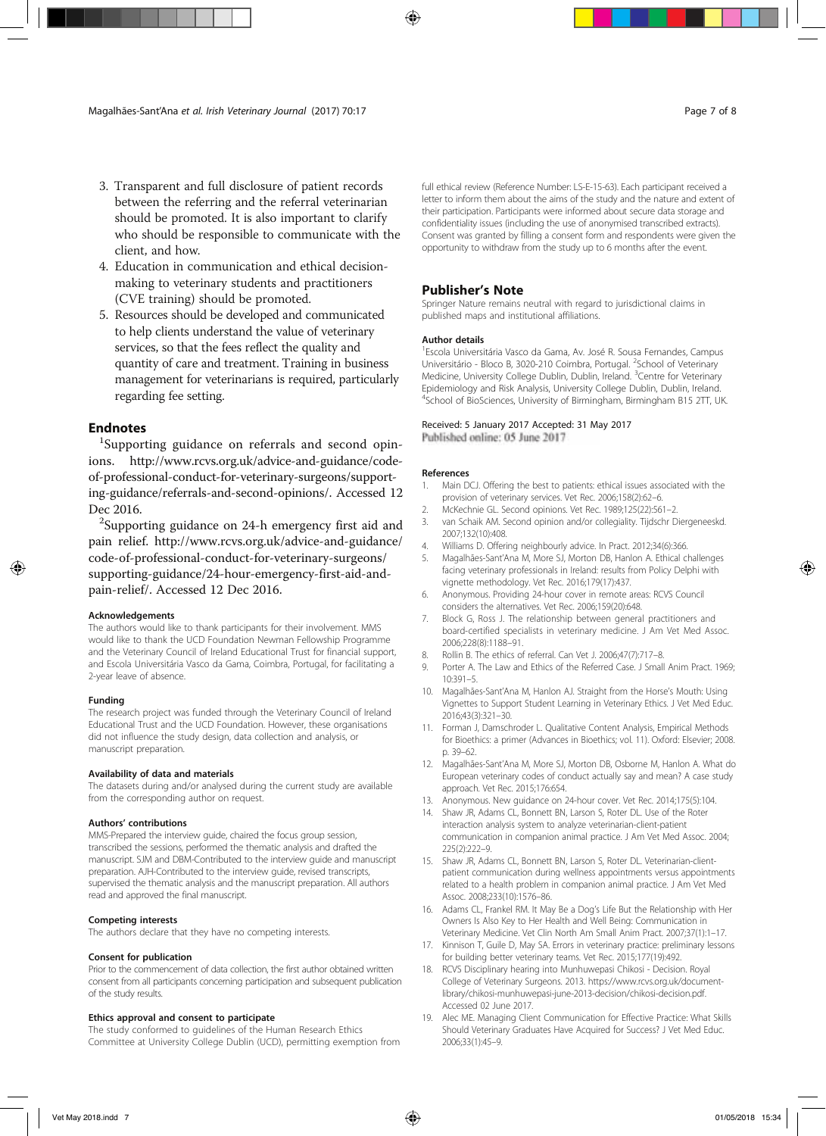- 3. Transparent and full disclosure of patient records between the referring and the referral veterinarian should be promoted. It is also important to clarify who should be responsible to communicate with the client, and how.
- 4. Education in communication and ethical decisionmaking to veterinary students and practitioners (CVE training) should be promoted.
- 5. Resources should be developed and communicated to help clients understand the value of veterinary services, so that the fees reflect the quality and quantity of care and treatment. Training in business management for veterinarians is required, particularly regarding fee setting.

# **Endnotes**

<sup>1</sup>Supporting guidance on referrals and second opinions. http://www.rcvs.org.uk/advice-and-guidance/codeof-professional-conduct-for-veterinary-surgeons/supporting-guidance/referrals-and-second-opinions/. Accessed 12 Dec 2016.

 $2$ Supporting guidance on 24-h emergency first aid and pain relief. http://www.rcvs.org.uk/advice-and-guidance/ code-of-professional-conduct-for-veterinary-surgeons/ supporting-guidance/24-hour-emergency-first-aid-andpain-relief/. Accessed 12 Dec 2016.

#### Acknowledgements

The authors would like to thank participants for their involvement. MMS would like to thank the UCD Foundation Newman Fellowship Programme and the Veterinary Council of Ireland Educational Trust for financial support, and Escola Universitária Vasco da Gama, Coimbra, Portugal, for facilitating a 2-year leave of absence.

#### Funding

The research project was funded through the Veterinary Council of Ireland Educational Trust and the UCD Foundation. However, these organisations did not influence the study design, data collection and analysis, or manuscript preparation.

#### Availability of data and materials

The datasets during and/or analysed during the current study are available from the corresponding author on request.

#### Authors' contributions

MMS-Prepared the interview guide, chaired the focus group session, transcribed the sessions, performed the thematic analysis and drafted the manuscript. SJM and DBM-Contributed to the interview guide and manuscript preparation. AJH-Contributed to the interview guide, revised transcripts, supervised the thematic analysis and the manuscript preparation. All authors read and approved the final manuscript.

#### Competing interests

The authors declare that they have no competing interests.

#### Consent for publication

Prior to the commencement of data collection, the first author obtained written consent from all participants concerning participation and subsequent publication of the study results.

#### Ethics approval and consent to participate

The study conformed to guidelines of the Human Research Ethics Committee at University College Dublin (UCD), permitting exemption from full ethical review (Reference Number: LS-E-15-63). Each participant received a letter to inform them about the aims of the study and the nature and extent of their participation. Participants were informed about secure data storage and confidentiality issues (including the use of anonymised transcribed extracts). Consent was granted by filling a consent form and respondents were given the opportunity to withdraw from the study up to 6 months after the event.

## Publisher's Note

Springer Nature remains neutral with regard to jurisdictional claims in published maps and institutional affiliations.

#### Author details

<sup>1</sup>Escola Universitária Vasco da Gama, Av. José R. Sousa Fernandes, Campus Universitário - Bloco B, 3020-210 Coimbra, Portugal. <sup>2</sup>School of Veterinary Medicine, University College Dublin, Dublin, Ireland. <sup>3</sup>Centre for Veterinary Epidemiology and Risk Analysis, University College Dublin, Dublin, Ireland. 4 School of BioSciences, University of Birmingham, Birmingham B15 2TT, UK.

# Received: 5 January 2017 Accepted: 31 May 2017

Published online: 05 June 2017

#### References

- 1. Main DCJ. Offering the best to patients: ethical issues associated with the provision of veterinary services. Vet Rec. 2006;158(2):62–6.
- 2. McKechnie GL. Second opinions. Vet Rec. 1989;125(22):561–2.
- 3. van Schaik AM. Second opinion and/or collegiality. Tijdschr Diergeneeskd. 2007;132(10):408.
- 4. Williams D. Offering neighbourly advice. In Pract. 2012;34(6):366.
- 5. Magalhães-Sant'Ana M, More SJ, Morton DB, Hanlon A. Ethical challenges facing veterinary professionals in Ireland: results from Policy Delphi with vignette methodology. Vet Rec. 2016;179(17):437.
- 6. Anonymous. Providing 24-hour cover in remote areas: RCVS Council considers the alternatives. Vet Rec. 2006;159(20):648.
- 7. Block G, Ross J. The relationship between general practitioners and board-certified specialists in veterinary medicine. J Am Vet Med Assoc. 2006;228(8):1188–91.
- 8. Rollin B. The ethics of referral. Can Vet J. 2006;47(7):717–8.
- 9. Porter A. The Law and Ethics of the Referred Case. J Small Anim Pract. 1969; 10:391–5.
- 10. Magalhães-Sant'Ana M, Hanlon AJ. Straight from the Horse's Mouth: Using Vignettes to Support Student Learning in Veterinary Ethics. J Vet Med Educ. 2016;43(3):321–30.
- 11. Forman J, Damschroder L. Qualitative Content Analysis, Empirical Methods for Bioethics: a primer (Advances in Bioethics; vol. 11). Oxford: Elsevier; 2008. p. 39–62.
- 12. Magalhães-Sant'Ana M, More SJ, Morton DB, Osborne M, Hanlon A. What do European veterinary codes of conduct actually say and mean? A case study approach. Vet Rec. 2015;176:654.
- 13. Anonymous. New guidance on 24-hour cover. Vet Rec. 2014;175(5):104.
- 14. Shaw JR, Adams CL, Bonnett BN, Larson S, Roter DL. Use of the Roter interaction analysis system to analyze veterinarian-client-patient communication in companion animal practice. J Am Vet Med Assoc. 2004; 225(2):222–9.
- 15. Shaw JR, Adams CL, Bonnett BN, Larson S, Roter DL. Veterinarian-clientpatient communication during wellness appointments versus appointments related to a health problem in companion animal practice. J Am Vet Med Assoc. 2008;233(10):1576–86.
- 16. Adams CL, Frankel RM. It May Be a Dog's Life But the Relationship with Her Owners Is Also Key to Her Health and Well Being: Communication in Veterinary Medicine. Vet Clin North Am Small Anim Pract. 2007;37(1):1–17.
- 17. Kinnison T, Guile D, May SA. Errors in veterinary practice: preliminary lessons for building better veterinary teams. Vet Rec. 2015;177(19):492.
- 18. RCVS Disciplinary hearing into Munhuwepasi Chikosi Decision. Royal College of Veterinary Surgeons. 2013. https://www.rcvs.org.uk/documentlibrary/chikosi-munhuwepasi-june-2013-decision/chikosi-decision.pdf. Accessed 02 June 2017.
- 19. Alec ME. Managing Client Communication for Effective Practice: What Skills Should Veterinary Graduates Have Acquired for Success? J Vet Med Educ. 2006;33(1):45–9.